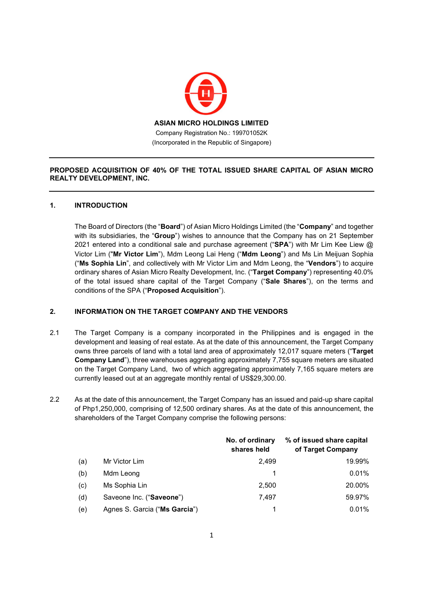

# PROPOSED ACQUISITION OF 40% OF THE TOTAL ISSUED SHARE CAPITAL OF ASIAN MICRO REALTY DEVELOPMENT, INC.

# 1. INTRODUCTION

The Board of Directors (the "Board") of Asian Micro Holdings Limited (the "Company" and together with its subsidiaries, the "**Group**") wishes to announce that the Company has on 21 September 2021 entered into a conditional sale and purchase agreement ("SPA") with Mr Lim Kee Liew  $@$ Victor Lim ("Mr Victor Lim"), Mdm Leong Lai Heng ("Mdm Leong") and Ms Lin Meijuan Sophia ("Ms Sophia Lin", and collectively with Mr Victor Lim and Mdm Leong, the "Vendors") to acquire ordinary shares of Asian Micro Realty Development, Inc. ("Target Company") representing 40.0% of the total issued share capital of the Target Company ("Sale Shares"), on the terms and conditions of the SPA ("Proposed Acquisition").

# 2. INFORMATION ON THE TARGET COMPANY AND THE VENDORS

- 2.1 The Target Company is a company incorporated in the Philippines and is engaged in the development and leasing of real estate. As at the date of this announcement, the Target Company owns three parcels of land with a total land area of approximately 12,017 square meters ("Target Company Land"), three warehouses aggregating approximately 7,755 square meters are situated on the Target Company Land, two of which aggregating approximately 7,165 square meters are currently leased out at an aggregate monthly rental of US\$29,300.00.
- 2.2 As at the date of this announcement, the Target Company has an issued and paid-up share capital of Php1,250,000, comprising of 12,500 ordinary shares. As at the date of this announcement, the shareholders of the Target Company comprise the following persons:

|     |                               | No. of ordinary<br>shares held | % of issued share capital<br>of Target Company |  |
|-----|-------------------------------|--------------------------------|------------------------------------------------|--|
| (a) | Mr Victor Lim                 | 2,499                          | 19.99%                                         |  |
| (b) | Mdm Leong                     |                                | 0.01%                                          |  |
| (c) | Ms Sophia Lin                 | 2,500                          | 20.00%                                         |  |
| (d) | Saveone Inc. ("Saveone")      | 7,497                          | 59.97%                                         |  |
| (e) | Agnes S. Garcia ("Ms Garcia") |                                | 0.01%                                          |  |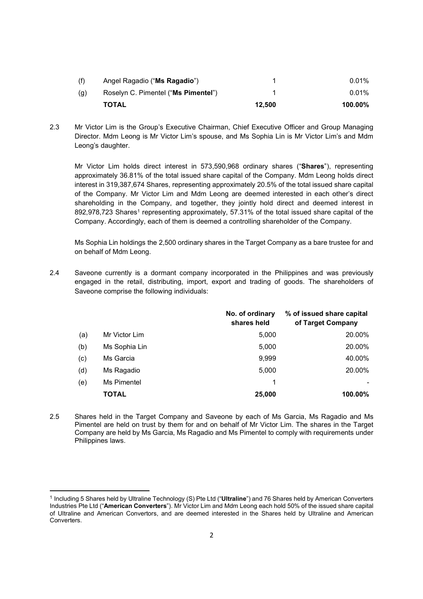|     | TOTAL                               | 12.500 | $100.00\%$ |
|-----|-------------------------------------|--------|------------|
| (g) | Roselyn C. Pimentel ("Ms Pimentel") |        | $0.01\%$   |
| (f) | Angel Ragadio ("Ms Ragadio")        |        | $0.01\%$   |

2.3 Mr Victor Lim is the Group's Executive Chairman, Chief Executive Officer and Group Managing Director. Mdm Leong is Mr Victor Lim's spouse, and Ms Sophia Lin is Mr Victor Lim's and Mdm Leong's daughter.

Mr Victor Lim holds direct interest in 573,590,968 ordinary shares ("Shares"), representing approximately 36.81% of the total issued share capital of the Company. Mdm Leong holds direct interest in 319,387,674 Shares, representing approximately 20.5% of the total issued share capital of the Company. Mr Victor Lim and Mdm Leong are deemed interested in each other's direct shareholding in the Company, and together, they jointly hold direct and deemed interest in 892,978,723 Shares<sup>1</sup> representing approximately, 57.31% of the total issued share capital of the Company. Accordingly, each of them is deemed a controlling shareholder of the Company.

Ms Sophia Lin holdings the 2,500 ordinary shares in the Target Company as a bare trustee for and on behalf of Mdm Leong.

2.4 Saveone currently is a dormant company incorporated in the Philippines and was previously engaged in the retail, distributing, import, export and trading of goods. The shareholders of Saveone comprise the following individuals:

|     |               | No. of ordinary<br>shares held | % of issued share capital<br>of Target Company |
|-----|---------------|--------------------------------|------------------------------------------------|
| (a) | Mr Victor Lim | 5,000                          | 20.00%                                         |
| (b) | Ms Sophia Lin | 5,000                          | 20.00%                                         |
| (c) | Ms Garcia     | 9,999                          | 40.00%                                         |
| (d) | Ms Ragadio    | 5,000                          | 20.00%                                         |
| (e) | Ms Pimentel   | 1                              |                                                |
|     | <b>TOTAL</b>  | 25,000                         | 100.00%                                        |

2.5 Shares held in the Target Company and Saveone by each of Ms Garcia, Ms Ragadio and Ms Pimentel are held on trust by them for and on behalf of Mr Victor Lim. The shares in the Target Company are held by Ms Garcia, Ms Ragadio and Ms Pimentel to comply with requirements under Philippines laws.

<sup>&</sup>lt;sup>1</sup> Including 5 Shares held by Ultraline Technology (S) Pte Ltd ("Ultraline") and 76 Shares held by American Converters Industries Pte Ltd ("American Converters"). Mr Victor Lim and Mdm Leong each hold 50% of the issued share capital of Ultraline and American Convertors, and are deemed interested in the Shares held by Ultraline and American Converters.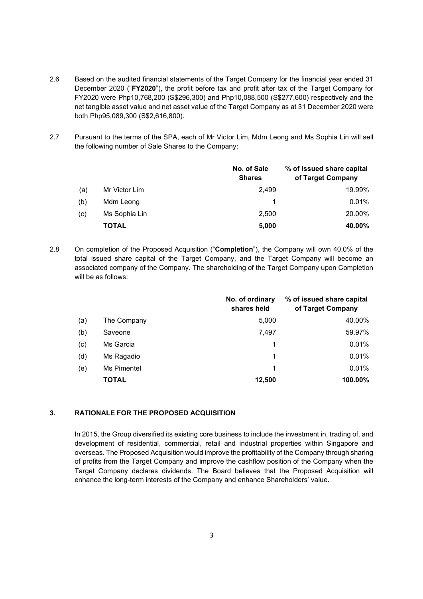- 2.6 Based on the audited financial statements of the Target Company for the financial year ended 31 December 2020 ("FY2020"), the profit before tax and profit after tax of the Target Company for FY2020 were Php10,768,200 (S\$296,300) and Php10,088,500 (S\$277,600) respectively and the net tangible asset value and net asset value of the Target Company as at 31 December 2020 were both Php95,089,300 (S\$2,616,800).
- 2.7 Pursuant to the terms of the SPA, each of Mr Victor Lim, Mdm Leong and Ms Sophia Lin will sell the following number of Sale Shares to the Company:

|     |               | No. of Sale<br><b>Shares</b> | % of issued share capital<br>of Target Company |
|-----|---------------|------------------------------|------------------------------------------------|
| (a) | Mr Victor Lim | 2.499                        | 19.99%                                         |
| (b) | Mdm Leong     |                              | 0.01%                                          |
| (c) | Ms Sophia Lin | 2.500                        | 20.00%                                         |
|     | <b>TOTAL</b>  | 5,000                        | 40.00%                                         |

2.8 On completion of the Proposed Acquisition ("Completion"), the Company will own 40.0% of the total issued share capital of the Target Company, and the Target Company will become an associated company of the Company. The shareholding of the Target Company upon Completion will be as follows:

|     |              | No. of ordinary<br>shares held | % of issued share capital<br>of Target Company |
|-----|--------------|--------------------------------|------------------------------------------------|
| (a) | The Company  | 5,000                          | 40.00%                                         |
| (b) | Saveone      | 7,497                          | 59.97%                                         |
| (c) | Ms Garcia    | 1                              | 0.01%                                          |
| (d) | Ms Ragadio   | 1                              | 0.01%                                          |
| (e) | Ms Pimentel  | 1                              | 0.01%                                          |
|     | <b>TOTAL</b> | 12,500                         | 100.00%                                        |

### 3. RATIONALE FOR THE PROPOSED ACQUISITION

In 2015, the Group diversified its existing core business to include the investment in, trading of, and development of residential, commercial, retail and industrial properties within Singapore and overseas. The Proposed Acquisition would improve the profitability of the Company through sharing of profits from the Target Company and improve the cashflow position of the Company when the Target Company declares dividends. The Board believes that the Proposed Acquisition will enhance the long-term interests of the Company and enhance Shareholders' value.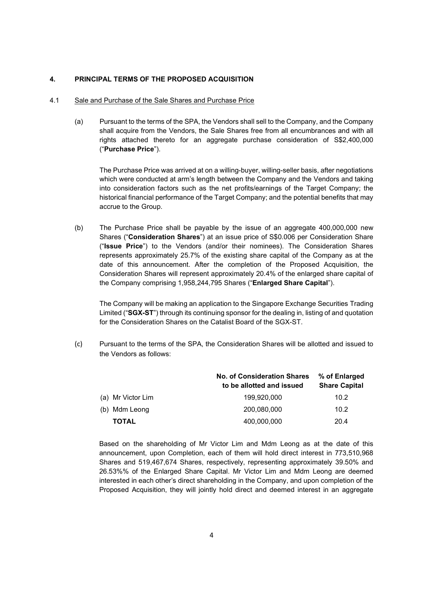# 4. PRINCIPAL TERMS OF THE PROPOSED ACQUISITION

#### 4.1 Sale and Purchase of the Sale Shares and Purchase Price

(a) Pursuant to the terms of the SPA, the Vendors shall sell to the Company, and the Company shall acquire from the Vendors, the Sale Shares free from all encumbrances and with all rights attached thereto for an aggregate purchase consideration of S\$2,400,000 ("Purchase Price").

The Purchase Price was arrived at on a willing-buyer, willing-seller basis, after negotiations which were conducted at arm's length between the Company and the Vendors and taking into consideration factors such as the net profits/earnings of the Target Company; the historical financial performance of the Target Company; and the potential benefits that may accrue to the Group.

(b) The Purchase Price shall be payable by the issue of an aggregate 400,000,000 new Shares ("Consideration Shares") at an issue price of S\$0.006 per Consideration Share ("Issue Price") to the Vendors (and/or their nominees). The Consideration Shares represents approximately 25.7% of the existing share capital of the Company as at the date of this announcement. After the completion of the Proposed Acquisition, the Consideration Shares will represent approximately 20.4% of the enlarged share capital of the Company comprising 1,958,244,795 Shares ("Enlarged Share Capital").

 The Company will be making an application to the Singapore Exchange Securities Trading Limited ("SGX-ST") through its continuing sponsor for the dealing in, listing of and quotation for the Consideration Shares on the Catalist Board of the SGX-ST.

(c) Pursuant to the terms of the SPA, the Consideration Shares will be allotted and issued to the Vendors as follows:

|                   | <b>No. of Consideration Shares</b><br>to be allotted and issued | % of Enlarged<br><b>Share Capital</b> |
|-------------------|-----------------------------------------------------------------|---------------------------------------|
| (a) Mr Victor Lim | 199,920,000                                                     | 10.2                                  |
| (b) Mdm Leong     | 200,080,000                                                     | 10.2                                  |
| <b>TOTAL</b>      | 400,000,000                                                     | 20.4                                  |

Based on the shareholding of Mr Victor Lim and Mdm Leong as at the date of this announcement, upon Completion, each of them will hold direct interest in 773,510,968 Shares and 519,467,674 Shares, respectively, representing approximately 39.50% and 26.53%% of the Enlarged Share Capital. Mr Victor Lim and Mdm Leong are deemed interested in each other's direct shareholding in the Company, and upon completion of the Proposed Acquisition, they will jointly hold direct and deemed interest in an aggregate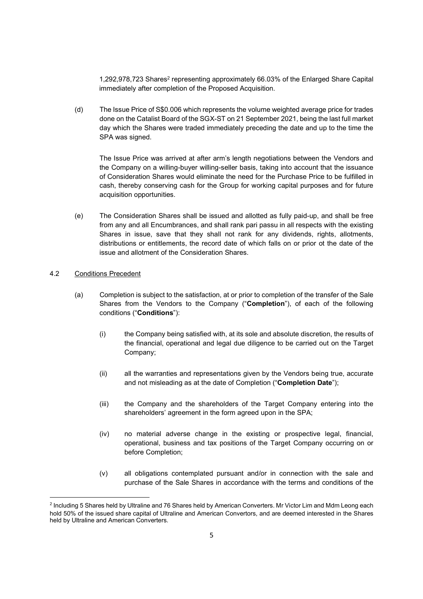1,292,978,723 Shares<sup>2</sup> representing approximately 66.03% of the Enlarged Share Capital immediately after completion of the Proposed Acquisition.

(d) The Issue Price of S\$0.006 which represents the volume weighted average price for trades done on the Catalist Board of the SGX-ST on 21 September 2021, being the last full market day which the Shares were traded immediately preceding the date and up to the time the SPA was signed.

 The Issue Price was arrived at after arm's length negotiations between the Vendors and the Company on a willing-buyer willing-seller basis, taking into account that the issuance of Consideration Shares would eliminate the need for the Purchase Price to be fulfilled in cash, thereby conserving cash for the Group for working capital purposes and for future acquisition opportunities.

(e) The Consideration Shares shall be issued and allotted as fully paid-up, and shall be free from any and all Encumbrances, and shall rank pari passu in all respects with the existing Shares in issue, save that they shall not rank for any dividends, rights, allotments, distributions or entitlements, the record date of which falls on or prior ot the date of the issue and allotment of the Consideration Shares.

# 4.2 Conditions Precedent

- (a) Completion is subject to the satisfaction, at or prior to completion of the transfer of the Sale Shares from the Vendors to the Company ("Completion"), of each of the following conditions ("Conditions"):
	- (i) the Company being satisfied with, at its sole and absolute discretion, the results of the financial, operational and legal due diligence to be carried out on the Target Company;
	- (ii) all the warranties and representations given by the Vendors being true, accurate and not misleading as at the date of Completion ("Completion Date");
	- (iii) the Company and the shareholders of the Target Company entering into the shareholders' agreement in the form agreed upon in the SPA;
	- (iv) no material adverse change in the existing or prospective legal, financial, operational, business and tax positions of the Target Company occurring on or before Completion;
	- (v) all obligations contemplated pursuant and/or in connection with the sale and purchase of the Sale Shares in accordance with the terms and conditions of the

<sup>&</sup>lt;sup>2</sup> Including 5 Shares held by Ultraline and 76 Shares held by American Converters. Mr Victor Lim and Mdm Leong each hold 50% of the issued share capital of Ultraline and American Convertors, and are deemed interested in the Shares held by Ultraline and American Converters.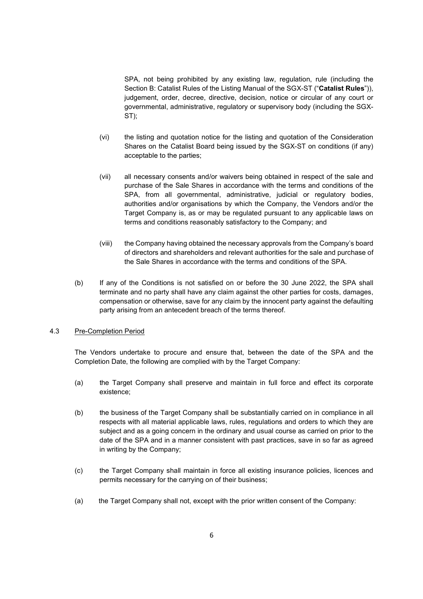SPA, not being prohibited by any existing law, regulation, rule (including the Section B: Catalist Rules of the Listing Manual of the SGX-ST ("Catalist Rules")), judgement, order, decree, directive, decision, notice or circular of any court or governmental, administrative, regulatory or supervisory body (including the SGX-ST);

- (vi) the listing and quotation notice for the listing and quotation of the Consideration Shares on the Catalist Board being issued by the SGX-ST on conditions (if any) acceptable to the parties;
- (vii) all necessary consents and/or waivers being obtained in respect of the sale and purchase of the Sale Shares in accordance with the terms and conditions of the SPA, from all governmental, administrative, judicial or regulatory bodies, authorities and/or organisations by which the Company, the Vendors and/or the Target Company is, as or may be regulated pursuant to any applicable laws on terms and conditions reasonably satisfactory to the Company; and
- (viii) the Company having obtained the necessary approvals from the Company's board of directors and shareholders and relevant authorities for the sale and purchase of the Sale Shares in accordance with the terms and conditions of the SPA.
- (b) If any of the Conditions is not satisfied on or before the 30 June 2022, the SPA shall terminate and no party shall have any claim against the other parties for costs, damages, compensation or otherwise, save for any claim by the innocent party against the defaulting party arising from an antecedent breach of the terms thereof.

### 4.3 Pre-Completion Period

The Vendors undertake to procure and ensure that, between the date of the SPA and the Completion Date, the following are complied with by the Target Company:

- (a) the Target Company shall preserve and maintain in full force and effect its corporate existence;
- (b) the business of the Target Company shall be substantially carried on in compliance in all respects with all material applicable laws, rules, regulations and orders to which they are subject and as a going concern in the ordinary and usual course as carried on prior to the date of the SPA and in a manner consistent with past practices, save in so far as agreed in writing by the Company;
- (c) the Target Company shall maintain in force all existing insurance policies, licences and permits necessary for the carrying on of their business;
- (a) the Target Company shall not, except with the prior written consent of the Company: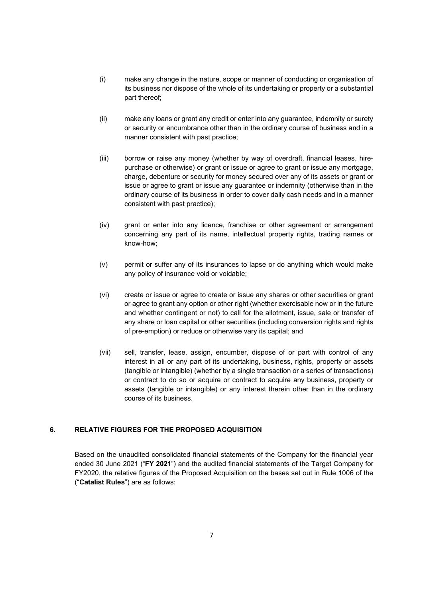- (i) make any change in the nature, scope or manner of conducting or organisation of its business nor dispose of the whole of its undertaking or property or a substantial part thereof;
- (ii) make any loans or grant any credit or enter into any guarantee, indemnity or surety or security or encumbrance other than in the ordinary course of business and in a manner consistent with past practice;
- (iii) borrow or raise any money (whether by way of overdraft, financial leases, hirepurchase or otherwise) or grant or issue or agree to grant or issue any mortgage, charge, debenture or security for money secured over any of its assets or grant or issue or agree to grant or issue any guarantee or indemnity (otherwise than in the ordinary course of its business in order to cover daily cash needs and in a manner consistent with past practice);
- (iv) grant or enter into any licence, franchise or other agreement or arrangement concerning any part of its name, intellectual property rights, trading names or know-how;
- (v) permit or suffer any of its insurances to lapse or do anything which would make any policy of insurance void or voidable;
- (vi) create or issue or agree to create or issue any shares or other securities or grant or agree to grant any option or other right (whether exercisable now or in the future and whether contingent or not) to call for the allotment, issue, sale or transfer of any share or loan capital or other securities (including conversion rights and rights of pre-emption) or reduce or otherwise vary its capital; and
- (vii) sell, transfer, lease, assign, encumber, dispose of or part with control of any interest in all or any part of its undertaking, business, rights, property or assets (tangible or intangible) (whether by a single transaction or a series of transactions) or contract to do so or acquire or contract to acquire any business, property or assets (tangible or intangible) or any interest therein other than in the ordinary course of its business.

### 6. RELATIVE FIGURES FOR THE PROPOSED ACQUISITION

Based on the unaudited consolidated financial statements of the Company for the financial year ended 30 June 2021 ("FY 2021") and the audited financial statements of the Target Company for FY2020, the relative figures of the Proposed Acquisition on the bases set out in Rule 1006 of the ("Catalist Rules") are as follows: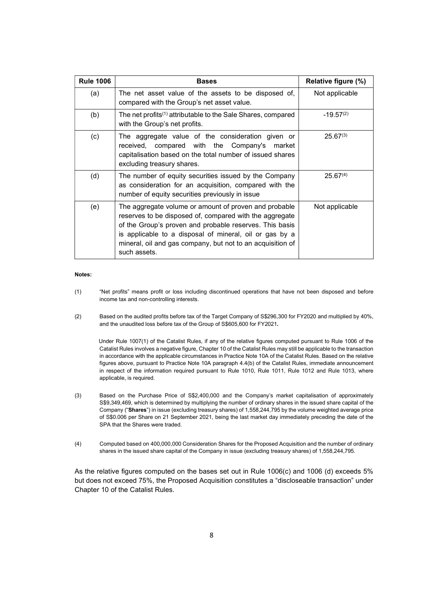| <b>Rule 1006</b> | <b>Bases</b>                                                                                                                                                                                                                                                                                                         | Relative figure (%) |
|------------------|----------------------------------------------------------------------------------------------------------------------------------------------------------------------------------------------------------------------------------------------------------------------------------------------------------------------|---------------------|
| (a)              | The net asset value of the assets to be disposed of,<br>compared with the Group's net asset value.                                                                                                                                                                                                                   | Not applicable      |
| (b)              | The net profits <sup>(1)</sup> attributable to the Sale Shares, compared<br>with the Group's net profits.                                                                                                                                                                                                            | $-19.57^{(2)}$      |
| (c)              | The aggregate value of the consideration given or<br>received, compared with the Company's market<br>capitalisation based on the total number of issued shares<br>excluding treasury shares.                                                                                                                         | $25.67^{(3)}$       |
| (d)              | The number of equity securities issued by the Company<br>as consideration for an acquisition, compared with the<br>number of equity securities previously in issue                                                                                                                                                   | $25.67^{(4)}$       |
| (e)              | The aggregate volume or amount of proven and probable<br>reserves to be disposed of, compared with the aggregate<br>of the Group's proven and probable reserves. This basis<br>is applicable to a disposal of mineral, oil or gas by a<br>mineral, oil and gas company, but not to an acquisition of<br>such assets. | Not applicable      |

#### Notes:

- (1) "Net profits" means profit or loss including discontinued operations that have not been disposed and before income tax and non-controlling interests.
- (2) Based on the audited profits before tax of the Target Company of S\$296,300 for FY2020 and multiplied by 40%, and the unaudited loss before tax of the Group of S\$605,600 for FY2021.

Under Rule 1007(1) of the Catalist Rules, if any of the relative figures computed pursuant to Rule 1006 of the Catalist Rules involves a negative figure, Chapter 10 of the Catalist Rules may still be applicable to the transaction in accordance with the applicable circumstances in Practice Note 10A of the Catalist Rules. Based on the relative figures above, pursuant to Practice Note 10A paragraph 4.4(b) of the Catalist Rules, immediate announcement in respect of the information required pursuant to Rule 1010, Rule 1011, Rule 1012 and Rule 1013, where applicable, is required.

- (3) Based on the Purchase Price of S\$2,400,000 and the Company's market capitalisation of approximately S\$9,349,469, which is determined by multiplying the number of ordinary shares in the issued share capital of the Company ("Shares") in issue (excluding treasury shares) of 1,558,244,795 by the volume weighted average price of S\$0.006 per Share on 21 September 2021, being the last market day immediately preceding the date of the SPA that the Shares were traded.
- (4) Computed based on 400,000,000 Consideration Shares for the Proposed Acquisition and the number of ordinary shares in the issued share capital of the Company in issue (excluding treasury shares) of 1,558,244,795.

As the relative figures computed on the bases set out in Rule 1006(c) and 1006 (d) exceeds 5% but does not exceed 75%, the Proposed Acquisition constitutes a "discloseable transaction" under Chapter 10 of the Catalist Rules.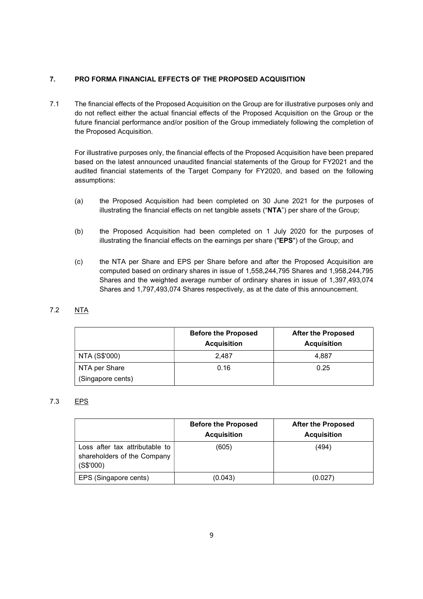# 7. PRO FORMA FINANCIAL EFFECTS OF THE PROPOSED ACQUISITION

7.1 The financial effects of the Proposed Acquisition on the Group are for illustrative purposes only and do not reflect either the actual financial effects of the Proposed Acquisition on the Group or the future financial performance and/or position of the Group immediately following the completion of the Proposed Acquisition.

For illustrative purposes only, the financial effects of the Proposed Acquisition have been prepared based on the latest announced unaudited financial statements of the Group for FY2021 and the audited financial statements of the Target Company for FY2020, and based on the following assumptions:

- (a) the Proposed Acquisition had been completed on 30 June 2021 for the purposes of illustrating the financial effects on net tangible assets ("NTA") per share of the Group;
- (b) the Proposed Acquisition had been completed on 1 July 2020 for the purposes of illustrating the financial effects on the earnings per share ("EPS") of the Group; and
- (c) the NTA per Share and EPS per Share before and after the Proposed Acquisition are computed based on ordinary shares in issue of 1,558,244,795 Shares and 1,958,244,795 Shares and the weighted average number of ordinary shares in issue of 1,397,493,074 Shares and 1,797,493,074 Shares respectively, as at the date of this announcement.

|                   | <b>Before the Proposed</b><br><b>Acquisition</b> | <b>After the Proposed</b><br><b>Acquisition</b> |
|-------------------|--------------------------------------------------|-------------------------------------------------|
| NTA (S\$'000)     | 2.487                                            | 4.887                                           |
| NTA per Share     | 0.16                                             | 0.25                                            |
| (Singapore cents) |                                                  |                                                 |

# 7.2 NTA

# 7.3 EPS

|                                                                            | <b>Before the Proposed</b><br><b>Acquisition</b> | <b>After the Proposed</b><br><b>Acquisition</b> |
|----------------------------------------------------------------------------|--------------------------------------------------|-------------------------------------------------|
| Loss after tax attributable to<br>shareholders of the Company<br>(S\$'000) | (605)                                            | (494)                                           |
| EPS (Singapore cents)                                                      | (0.043)                                          | (0.027)                                         |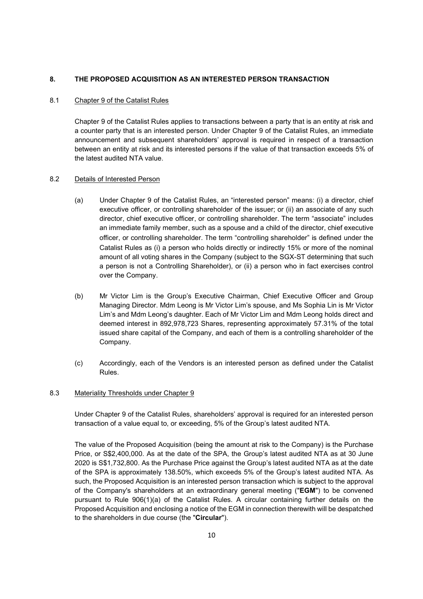# 8. THE PROPOSED ACQUISITION AS AN INTERESTED PERSON TRANSACTION

### 8.1 Chapter 9 of the Catalist Rules

Chapter 9 of the Catalist Rules applies to transactions between a party that is an entity at risk and a counter party that is an interested person. Under Chapter 9 of the Catalist Rules, an immediate announcement and subsequent shareholders' approval is required in respect of a transaction between an entity at risk and its interested persons if the value of that transaction exceeds 5% of the latest audited NTA value.

#### 8.2 Details of Interested Person

- (a) Under Chapter 9 of the Catalist Rules, an "interested person" means: (i) a director, chief executive officer, or controlling shareholder of the issuer; or (ii) an associate of any such director, chief executive officer, or controlling shareholder. The term "associate" includes an immediate family member, such as a spouse and a child of the director, chief executive officer, or controlling shareholder. The term "controlling shareholder" is defined under the Catalist Rules as (i) a person who holds directly or indirectly 15% or more of the nominal amount of all voting shares in the Company (subject to the SGX-ST determining that such a person is not a Controlling Shareholder), or (ii) a person who in fact exercises control over the Company.
- (b) Mr Victor Lim is the Group's Executive Chairman, Chief Executive Officer and Group Managing Director. Mdm Leong is Mr Victor Lim's spouse, and Ms Sophia Lin is Mr Victor Lim's and Mdm Leong's daughter. Each of Mr Victor Lim and Mdm Leong holds direct and deemed interest in 892,978,723 Shares, representing approximately 57.31% of the total issued share capital of the Company, and each of them is a controlling shareholder of the Company.
- (c) Accordingly, each of the Vendors is an interested person as defined under the Catalist Rules.

#### 8.3 Materiality Thresholds under Chapter 9

Under Chapter 9 of the Catalist Rules, shareholders' approval is required for an interested person transaction of a value equal to, or exceeding, 5% of the Group's latest audited NTA.

The value of the Proposed Acquisition (being the amount at risk to the Company) is the Purchase Price, or S\$2,400,000. As at the date of the SPA, the Group's latest audited NTA as at 30 June 2020 is S\$1,732,800. As the Purchase Price against the Group's latest audited NTA as at the date of the SPA is approximately 138.50%, which exceeds 5% of the Group's latest audited NTA. As such, the Proposed Acquisition is an interested person transaction which is subject to the approval of the Company's shareholders at an extraordinary general meeting ("EGM") to be convened pursuant to Rule 906(1)(a) of the Catalist Rules. A circular containing further details on the Proposed Acquisition and enclosing a notice of the EGM in connection therewith will be despatched to the shareholders in due course (the "Circular").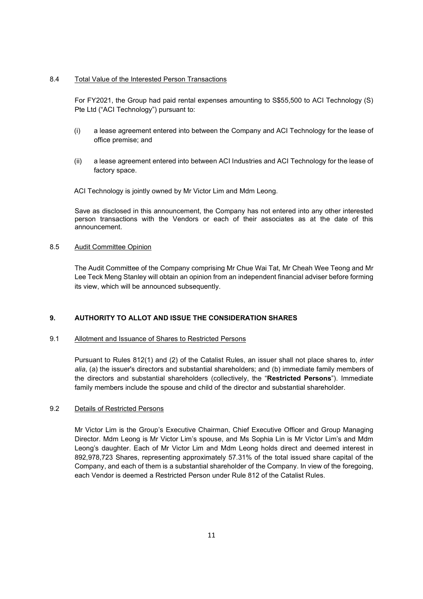### 8.4 Total Value of the Interested Person Transactions

For FY2021, the Group had paid rental expenses amounting to S\$55,500 to ACI Technology (S) Pte Ltd ("ACI Technology") pursuant to:

- (i) a lease agreement entered into between the Company and ACI Technology for the lease of office premise; and
- (ii) a lease agreement entered into between ACI Industries and ACI Technology for the lease of factory space.

ACI Technology is jointly owned by Mr Victor Lim and Mdm Leong.

Save as disclosed in this announcement, the Company has not entered into any other interested person transactions with the Vendors or each of their associates as at the date of this announcement.

# 8.5 Audit Committee Opinion

The Audit Committee of the Company comprising Mr Chue Wai Tat, Mr Cheah Wee Teong and Mr Lee Teck Meng Stanley will obtain an opinion from an independent financial adviser before forming its view, which will be announced subsequently.

# 9. AUTHORITY TO ALLOT AND ISSUE THE CONSIDERATION SHARES

# 9.1 Allotment and Issuance of Shares to Restricted Persons

Pursuant to Rules 812(1) and (2) of the Catalist Rules, an issuer shall not place shares to, inter alia, (a) the issuer's directors and substantial shareholders; and (b) immediate family members of the directors and substantial shareholders (collectively, the "Restricted Persons"). Immediate family members include the spouse and child of the director and substantial shareholder.

### 9.2 Details of Restricted Persons

Mr Victor Lim is the Group's Executive Chairman, Chief Executive Officer and Group Managing Director. Mdm Leong is Mr Victor Lim's spouse, and Ms Sophia Lin is Mr Victor Lim's and Mdm Leong's daughter. Each of Mr Victor Lim and Mdm Leong holds direct and deemed interest in 892,978,723 Shares, representing approximately 57.31% of the total issued share capital of the Company, and each of them is a substantial shareholder of the Company. In view of the foregoing, each Vendor is deemed a Restricted Person under Rule 812 of the Catalist Rules.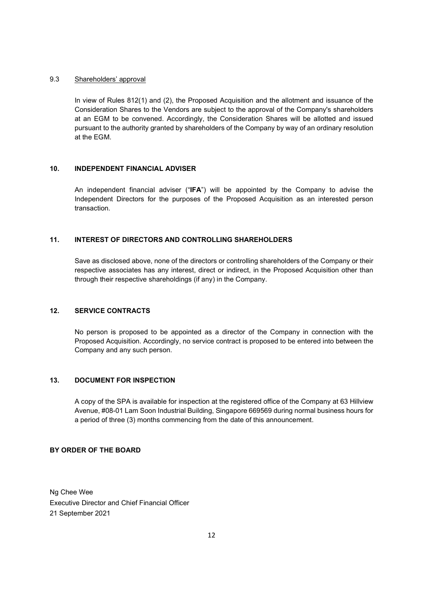### 9.3 Shareholders' approval

In view of Rules 812(1) and (2), the Proposed Acquisition and the allotment and issuance of the Consideration Shares to the Vendors are subject to the approval of the Company's shareholders at an EGM to be convened. Accordingly, the Consideration Shares will be allotted and issued pursuant to the authority granted by shareholders of the Company by way of an ordinary resolution at the EGM.

# 10. INDEPENDENT FINANCIAL ADVISER

An independent financial adviser ("IFA") will be appointed by the Company to advise the Independent Directors for the purposes of the Proposed Acquisition as an interested person transaction.

# 11. INTEREST OF DIRECTORS AND CONTROLLING SHAREHOLDERS

Save as disclosed above, none of the directors or controlling shareholders of the Company or their respective associates has any interest, direct or indirect, in the Proposed Acquisition other than through their respective shareholdings (if any) in the Company.

# 12. SERVICE CONTRACTS

No person is proposed to be appointed as a director of the Company in connection with the Proposed Acquisition. Accordingly, no service contract is proposed to be entered into between the Company and any such person.

### 13. DOCUMENT FOR INSPECTION

A copy of the SPA is available for inspection at the registered office of the Company at 63 Hillview Avenue, #08-01 Lam Soon Industrial Building, Singapore 669569 during normal business hours for a period of three (3) months commencing from the date of this announcement.

# BY ORDER OF THE BOARD

Ng Chee Wee Executive Director and Chief Financial Officer 21 September 2021